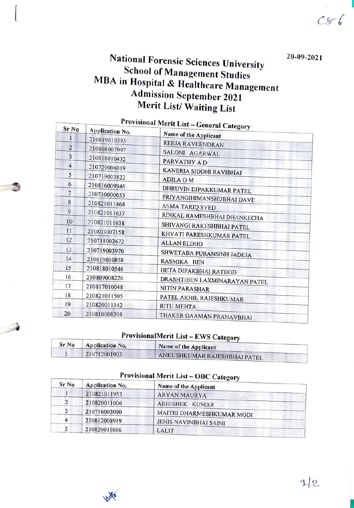$Cs-6$ 

# National Forensic Sciences University<br>School of Management Studies<br>MBA in Hospital & Healthcare Management<br>Admission September 2021 Merit List/ Waiting List

| Sr <sub>No</sub> | Provisional Merit List – General Category<br><b>Application No.</b> |                               |  |
|------------------|---------------------------------------------------------------------|-------------------------------|--|
|                  | 210819010595                                                        | Name of the Applicant         |  |
| $\overline{2}$   | 210808007997                                                        | REEJA RAVEENDRAN              |  |
| 3                | 210818010432                                                        | SALONI AGARWAL                |  |
| $\overline{4}$   | 210729006019                                                        | PARVATHY A D                  |  |
| 5                | 210719003822                                                        | KANERIA SIDDHI RAVIBHAI       |  |
| 6                | 210816009946                                                        | <b>ADILA OM</b>               |  |
| 7                | 210710000653                                                        | DHRUVIN DIPAKKUMAR PATEL      |  |
| 8                | 210821011468                                                        | PRIYANGIHIMANSHUBHAI DAVE     |  |
| 9                |                                                                     | <b>ASMA TARIQ SYED</b>        |  |
|                  | 210821011637                                                        | RINKAL RAMESHBHAI DHANKECHA   |  |
| 10               | 210821011638                                                        | SHIVANGI RAKESHBHAI PATEL     |  |
| 11               | 210803007158                                                        | KHYATI PARESHKUMAR PATEL      |  |
| 12               | 210718003672                                                        | <b>ALLAN ELDHO</b>            |  |
| 13               | 210719003970                                                        | SHWETABA PURANSINH JADEJA     |  |
| 14               | 210819010858                                                        | RASMIKA BEN                   |  |
| 15               | 210818010546                                                        | HETA DIPAKBHAI RATHOD         |  |
| 16               | 210809008226                                                        | DRASHTIBEN LAXMINARAYAN PATEL |  |
| 17               | 210817010048                                                        | NITIN PARASHAR                |  |
| 18               | 210821011505                                                        | PATEL AKHIL RAJESHKUMAR       |  |
| 19               | 210820011142                                                        | <b>RITU MEHTA</b>             |  |
| 20               | 210810008398                                                        | THAKER DAAMAN PRANAVBHAI      |  |

| ProvisionalMerit List – EWS Category |                        |                              |
|--------------------------------------|------------------------|------------------------------|
| Sr No                                | <b>Application No.</b> | Name of the Applicant        |
| ι.                                   | 210712001903           | ANKUSHKUMAR RAJESHBHAI PATEL |

## Provisional Merit List – OBC Category

| Sr No | <b>Application No.</b> | Name of the Applicant        |  |
|-------|------------------------|------------------------------|--|
|       | 210821011953           | <b>ARYAN MAURYA</b>          |  |
| 2     | 210820011006           | <b>ABHISHEK KUMAR</b>        |  |
|       | 210716003090           | MAITRI DHARMESHKUMAR MODI    |  |
| 4     | 210812008919           | <b>JENIS NAVINBHAI SAINL</b> |  |
|       | 210820011016           | LALIT                        |  |